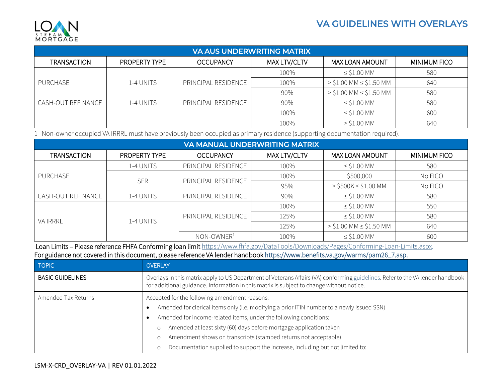## <span id="page-0-0"></span>VA GUIDELINES WITH OVERLAYS



| <b>VA AUS UNDERWRITING MATRIX</b> |                      |                     |              |                               |                     |
|-----------------------------------|----------------------|---------------------|--------------|-------------------------------|---------------------|
| <b>TRANSACTION</b>                | <b>PROPERTY TYPE</b> | <b>OCCUPANCY</b>    | MAX LTV/CLTV | <b>MAX LOAN AMOUNT</b>        | <b>MINIMUM FICO</b> |
|                                   |                      |                     | 100%         | $\le$ \$1.00 MM               | 580                 |
| PURCHASE                          | 1-4 UNITS            | PRINCIPAL RESIDENCE | 100%         | $>$ \$1.00 MM $\le$ \$1.50 MM | 640                 |
|                                   |                      |                     | 90%          | $>$ \$1.00 MM $\le$ \$1.50 MM | 580                 |
| CASH-OUT REFINANCE                | 1-4 UNITS            | PRINCIPAL RESIDENCE | 90%          | $\le$ \$1.00 MM               | 580                 |
|                                   |                      |                     | 100%         | $\le$ \$1.00 MM               | 600                 |
|                                   |                      |                     | 100%         | $>$ \$1.00 MM                 | 640                 |

1 Non-owner occupied VA IRRRL must have previously been occupied as primary residence (supporting documentation required).

| <b>VA MANUAL UNDERWRITING MATRIX</b> |               |                     |              |                               |                     |
|--------------------------------------|---------------|---------------------|--------------|-------------------------------|---------------------|
| <b>TRANSACTION</b>                   | PROPERTY TYPE | <b>OCCUPANCY</b>    | MAX LTV/CLTV | <b>MAX LOAN AMOUNT</b>        | <b>MINIMUM FICO</b> |
| PURCHASE                             | 1-4 UNITS     | PRINCIPAL RESIDENCE | 100%         | $\le$ \$1.00 MM               | 580                 |
|                                      | <b>SFR</b>    | PRINCIPAL RESIDENCE | 100%         | \$500,000                     | No FICO             |
|                                      |               |                     | 95%          | $>$ \$500K $\le$ \$1.00 MM    | No FICO             |
| CASH-OUT REFINANCE                   | 1-4 UNITS     | PRINCIPAL RESIDENCE | 90%          | $\le$ \$1.00 MM               | 580                 |
| <b>VA IRRRL</b>                      | 1-4 UNITS     | PRINCIPAL RESIDENCE | 100%         | $\le$ \$1.00 MM               | 550                 |
|                                      |               |                     | 125%         | $\le$ \$1.00 MM               | 580                 |
|                                      |               |                     | 125%         | $>$ \$1.00 MM $\le$ \$1.50 MM | 640                 |
|                                      |               | $NON-OWNER1$        | 100%         | $\le$ \$1.00 MM               | 600                 |

Loan Limits - Please reference FHFA Conforming loan limit [https://www.fhfa.gov/DataTools/Downloads/Pages/Conforming-Loan-Limits.aspx.](https://www.fhfa.gov/DataTools/Downloads/Pages/Conforming-Loan-Limits.aspx) For guidance not covered in this document, please reference VA lender handboo[k https://www.benefits.va.gov/warms/pam26\\_7.asp.](https://www.benefits.va.gov/warms/pam26_7.asp)

| <b>TOPIC</b>            | <b>OVERLAY</b>                                                                                                                                                                                                                                                                                                                                                                                                                                                              |
|-------------------------|-----------------------------------------------------------------------------------------------------------------------------------------------------------------------------------------------------------------------------------------------------------------------------------------------------------------------------------------------------------------------------------------------------------------------------------------------------------------------------|
| <b>BASIC GUIDELINES</b> | Overlays in this matrix apply to US Department of Veterans Affairs (VA) conforming guidelines. Refer to the VA lender handbook<br>for additional guidance. Information in this matrix is subject to change without notice.                                                                                                                                                                                                                                                  |
| Amended Tax Returns     | Accepted for the following amendment reasons:<br>Amended for clerical items only (i.e. modifying a prior ITIN number to a newly issued SSN)<br>Amended for income-related items, under the following conditions:<br>Amended at least sixty (60) days before mortgage application taken<br>$\circ$<br>Amendment shows on transcripts (stamped returns not acceptable)<br>$\circ$<br>Documentation supplied to support the increase, including but not limited to:<br>$\circ$ |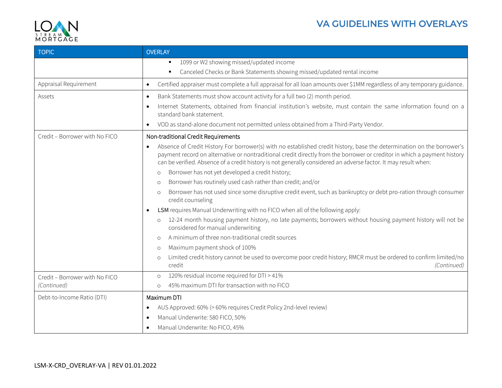



| <b>TOPIC</b>                   | <b>OVERLAY</b>                                                                                                                                                                                                                                                                                                                                                                     |
|--------------------------------|------------------------------------------------------------------------------------------------------------------------------------------------------------------------------------------------------------------------------------------------------------------------------------------------------------------------------------------------------------------------------------|
|                                | 1099 or W2 showing missed/updated income<br>٠                                                                                                                                                                                                                                                                                                                                      |
|                                | Canceled Checks or Bank Statements showing missed/updated rental income<br>٠                                                                                                                                                                                                                                                                                                       |
| Appraisal Requirement          | Certified appraiser must complete a full appraisal for all loan amounts over \$1MM regardless of any temporary guidance.<br>$\bullet$                                                                                                                                                                                                                                              |
| Assets                         | Bank Statements must show account activity for a full two (2) month period.<br>$\bullet$                                                                                                                                                                                                                                                                                           |
|                                | Internet Statements, obtained from financial institution's website, must contain the same information found on a<br>$\bullet$<br>standard bank statement.                                                                                                                                                                                                                          |
|                                | VOD as stand-alone document not permitted unless obtained from a Third-Party Vendor.<br>$\bullet$                                                                                                                                                                                                                                                                                  |
| Credit - Borrower with No FICO | Non-traditional Credit Requirements                                                                                                                                                                                                                                                                                                                                                |
|                                | Absence of Credit History For borrower(s) with no established credit history, base the determination on the borrower's<br>$\bullet$<br>payment record on alternative or nontraditional credit directly from the borrower or creditor in which a payment history<br>can be verified. Absence of a credit history is not generally considered an adverse factor. It may result when: |
|                                | Borrower has not yet developed a credit history;<br>$\circ$                                                                                                                                                                                                                                                                                                                        |
|                                | Borrower has routinely used cash rather than credit; and/or<br>$\circ$                                                                                                                                                                                                                                                                                                             |
|                                | Borrower has not used since some disruptive credit event, such as bankruptcy or debt pro-ration through consumer<br>$\circ$<br>credit counseling                                                                                                                                                                                                                                   |
|                                | LSM requires Manual Underwriting with no FICO when all of the following apply:<br>$\bullet$                                                                                                                                                                                                                                                                                        |
|                                | 12-24 month housing payment history, no late payments; borrowers without housing payment history will not be<br>$\circ$<br>considered for manual underwriting                                                                                                                                                                                                                      |
|                                | A minimum of three non-traditional credit sources<br>$\circ$                                                                                                                                                                                                                                                                                                                       |
|                                | Maximum payment shock of 100%<br>$\circ$                                                                                                                                                                                                                                                                                                                                           |
|                                | Limited credit history cannot be used to overcome poor credit history; RMCR must be ordered to confirm limited/no<br>$\circ$<br>credit<br>(Continued)                                                                                                                                                                                                                              |
| Credit - Borrower with No FICO | 120% residual income required for DTI > 41%<br>$\circ$                                                                                                                                                                                                                                                                                                                             |
| (Continued)                    | 45% maximum DTI for transaction with no FICO<br>$\circ$                                                                                                                                                                                                                                                                                                                            |
| Debt-to-Income Ratio (DTI)     | Maximum DTI                                                                                                                                                                                                                                                                                                                                                                        |
|                                | AUS Approved: 60% (> 60% requires Credit Policy 2nd-level review)<br>$\bullet$                                                                                                                                                                                                                                                                                                     |
|                                | Manual Underwrite: 580 FICO, 50%<br>$\bullet$                                                                                                                                                                                                                                                                                                                                      |
|                                | Manual Underwrite: No FICO, 45%<br>$\bullet$                                                                                                                                                                                                                                                                                                                                       |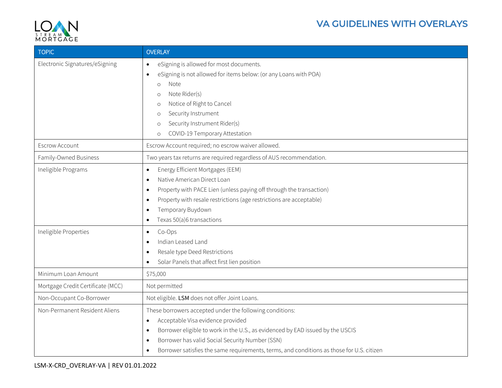

## VA GUIDELINES WITH OVERLAYS

| <b>TOPIC</b>                                 | <b>OVERLAY</b>                                                                                                                                                                                                                                                                                                                                                                      |
|----------------------------------------------|-------------------------------------------------------------------------------------------------------------------------------------------------------------------------------------------------------------------------------------------------------------------------------------------------------------------------------------------------------------------------------------|
| Electronic Signatures/eSigning               | eSigning is allowed for most documents.<br>$\bullet$<br>eSigning is not allowed for items below: (or any Loans with POA)<br>$\bullet$<br>Note<br>$\circ$<br>Note Rider(s)<br>$\circ$<br>Notice of Right to Cancel<br>$\circ$<br>Security Instrument<br>$\circ$<br>Security Instrument Rider(s)<br>$\circ$<br>COVID-19 Temporary Attestation<br>$\circ$                              |
| <b>Escrow Account</b>                        | Escrow Account required; no escrow waiver allowed.                                                                                                                                                                                                                                                                                                                                  |
| Family-Owned Business                        | Two years tax returns are required regardless of AUS recommendation.                                                                                                                                                                                                                                                                                                                |
| Ineligible Programs<br>Ineligible Properties | Energy Efficient Mortgages (EEM)<br>$\bullet$<br>Native American Direct Loan<br>$\bullet$<br>Property with PACE Lien (unless paying off through the transaction)<br>$\bullet$<br>Property with resale restrictions (age restrictions are acceptable)<br>$\bullet$<br>Temporary Buydown<br>$\bullet$<br>Texas 50(a)6 transactions<br>$\bullet$<br>Co-Ops<br>$\bullet$                |
|                                              | Indian Leased Land<br>$\bullet$<br>Resale type Deed Restrictions<br>$\bullet$<br>Solar Panels that affect first lien position<br>$\bullet$                                                                                                                                                                                                                                          |
| Minimum Loan Amount                          | \$75,000                                                                                                                                                                                                                                                                                                                                                                            |
| Mortgage Credit Certificate (MCC)            | Not permitted                                                                                                                                                                                                                                                                                                                                                                       |
| Non-Occupant Co-Borrower                     | Not eligible. LSM does not offer Joint Loans.                                                                                                                                                                                                                                                                                                                                       |
| Non-Permanent Resident Aliens                | These borrowers accepted under the following conditions:<br>Acceptable Visa evidence provided<br>$\bullet$<br>Borrower eligible to work in the U.S., as evidenced by EAD issued by the USCIS<br>$\bullet$<br>Borrower has valid Social Security Number (SSN)<br>$\bullet$<br>Borrower satisfies the same requirements, terms, and conditions as those for U.S. citizen<br>$\bullet$ |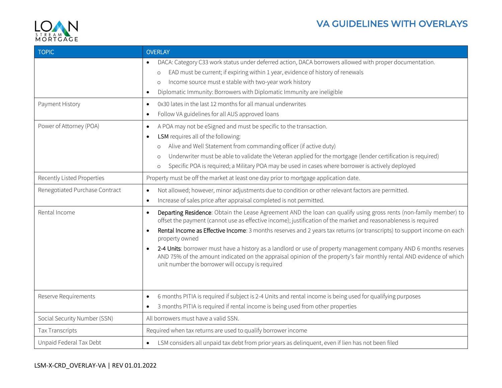



| <b>TOPIC</b>                   | <b>OVERLAY</b>                                                                                                                                                                                                                                                                                             |
|--------------------------------|------------------------------------------------------------------------------------------------------------------------------------------------------------------------------------------------------------------------------------------------------------------------------------------------------------|
|                                | DACA: Category C33 work status under deferred action, DACA borrowers allowed with proper documentation.<br>$\bullet$                                                                                                                                                                                       |
|                                | EAD must be current; if expiring within 1 year, evidence of history of renewals<br>$\circ$                                                                                                                                                                                                                 |
|                                | Income source must e stable with two-year work history<br>$\circ$                                                                                                                                                                                                                                          |
|                                | Diplomatic Immunity: Borrowers with Diplomatic Immunity are ineligible<br>$\bullet$                                                                                                                                                                                                                        |
| Payment History                | 0x30 lates in the last 12 months for all manual underwrites<br>$\bullet$                                                                                                                                                                                                                                   |
|                                | Follow VA guidelines for all AUS approved loans<br>$\bullet$                                                                                                                                                                                                                                               |
| Power of Attorney (POA)        | A POA may not be eSigned and must be specific to the transaction.<br>$\bullet$                                                                                                                                                                                                                             |
|                                | LSM requires all of the following:<br>$\bullet$                                                                                                                                                                                                                                                            |
|                                | Alive and Well Statement from commanding officer (if active duty)<br>$\circ$                                                                                                                                                                                                                               |
|                                | Underwriter must be able to validate the Veteran applied for the mortgage (lender certification is required)<br>$\circ$                                                                                                                                                                                    |
|                                | Specific POA is required; a Military POA may be used in cases where borrower is actively deployed<br>$\circ$                                                                                                                                                                                               |
| Recently Listed Properties     | Property must be off the market at least one day prior to mortgage application date.                                                                                                                                                                                                                       |
| Renegotiated Purchase Contract | Not allowed; however, minor adjustments due to condition or other relevant factors are permitted.<br>$\bullet$                                                                                                                                                                                             |
|                                | Increase of sales price after appraisal completed is not permitted.<br>$\bullet$                                                                                                                                                                                                                           |
| Rental Income                  | Departing Residence: Obtain the Lease Agreement AND the loan can qualify using gross rents (non-family member) to<br>$\bullet$<br>offset the payment (cannot use as effective income); justification of the market and reasonableness is required                                                          |
|                                | Rental Income as Effective Income: 3 months reserves and 2 years tax returns (or transcripts) to support income on each<br>$\bullet$<br>property owned                                                                                                                                                     |
|                                | 2-4 Units: borrower must have a history as a landlord or use of property management company AND 6 months reserves<br>$\bullet$<br>AND 75% of the amount indicated on the appraisal opinion of the property's fair monthly rental AND evidence of which<br>unit number the borrower will occupy is required |
|                                |                                                                                                                                                                                                                                                                                                            |
| Reserve Requirements           | 6 months PITIA is required if subject is 2-4 Units and rental income is being used for qualifying purposes<br>$\bullet$                                                                                                                                                                                    |
|                                | 3 months PITIA is required if rental income is being used from other properties<br>$\bullet$                                                                                                                                                                                                               |
| Social Security Number (SSN)   | All borrowers must have a valid SSN.                                                                                                                                                                                                                                                                       |
| <b>Tax Transcripts</b>         | Required when tax returns are used to qualify borrower income                                                                                                                                                                                                                                              |
| Unpaid Federal Tax Debt        | LSM considers all unpaid tax debt from prior years as delinguent, even if lien has not been filed<br>$\bullet$                                                                                                                                                                                             |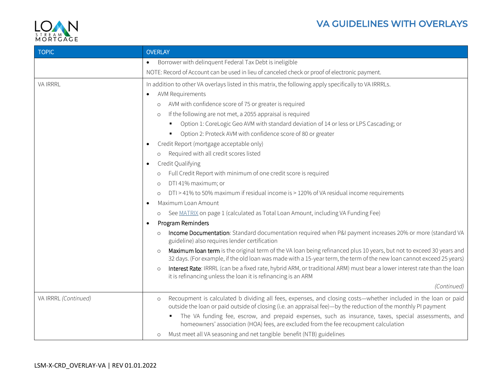

| <b>TOPIC</b>         | <b>OVERLAY</b>                                                                                                                                                                                                                                           |
|----------------------|----------------------------------------------------------------------------------------------------------------------------------------------------------------------------------------------------------------------------------------------------------|
|                      | Borrower with delinquent Federal Tax Debt is ineligible<br>$\bullet$                                                                                                                                                                                     |
|                      | NOTE: Record of Account can be used in lieu of canceled check or proof of electronic payment.                                                                                                                                                            |
| <b>VA IRRRL</b>      | In addition to other VA overlays listed in this matrix, the following apply specifically to VA IRRRLs.                                                                                                                                                   |
|                      | <b>AVM Requirements</b><br>$\bullet$                                                                                                                                                                                                                     |
|                      | AVM with confidence score of 75 or greater is required                                                                                                                                                                                                   |
|                      | If the following are not met, a 2055 appraisal is required<br>$\circ$                                                                                                                                                                                    |
|                      | Option 1: CoreLogic Geo AVM with standard deviation of 14 or less or LPS Cascading; or<br>٠                                                                                                                                                              |
|                      | Option 2: Proteck AVM with confidence score of 80 or greater                                                                                                                                                                                             |
|                      | Credit Report (mortgage acceptable only)<br>$\bullet$                                                                                                                                                                                                    |
|                      | Required with all credit scores listed<br>$\circ$                                                                                                                                                                                                        |
|                      | Credit Qualifying<br>$\bullet$                                                                                                                                                                                                                           |
|                      | Full Credit Report with minimum of one credit score is required<br>$\circ$                                                                                                                                                                               |
|                      | DTI 41% maximum; or<br>$\circ$                                                                                                                                                                                                                           |
|                      | DTI > 41% to 50% maximum if residual income is > 120% of VA residual income requirements<br>$\circ$                                                                                                                                                      |
|                      | Maximum Loan Amount<br>$\bullet$                                                                                                                                                                                                                         |
|                      | See MATRIX on page 1 (calculated as Total Loan Amount, including VA Funding Fee)<br>$\circ$                                                                                                                                                              |
|                      | Program Reminders<br>$\bullet$                                                                                                                                                                                                                           |
|                      | Income Documentation: Standard documentation required when P&I payment increases 20% or more (standard VA<br>$\circ$<br>guideline) also requires lender certification                                                                                    |
|                      | Maximum loan term is the original term of the VA loan being refinanced plus 10 years, but not to exceed 30 years and<br>$\circ$<br>32 days. (For example, if the old loan was made with a 15-year term, the term of the new loan cannot exceed 25 years) |
|                      | Interest Rate: IRRRL (can be a fixed rate, hybrid ARM, or traditional ARM) must bear a lower interest rate than the loan<br>$\circ$<br>it is refinancing unless the loan it is refinancing is an ARM                                                     |
|                      | (Continued)                                                                                                                                                                                                                                              |
| VA IRRRL (Continued) | Recoupment is calculated b dividing all fees, expenses, and closing costs-whether included in the loan or paid<br>$\circ$<br>outside the loan or paid outside of closing (i.e. an appraisal fee)—by the reduction of the monthly PI payment              |
|                      | The VA funding fee, escrow, and prepaid expenses, such as insurance, taxes, special assessments, and<br>homeowners' association (HOA) fees, are excluded from the fee recoupment calculation                                                             |
|                      | Must meet all VA seasoning and net tangible benefit (NTB) guidelines<br>$\circ$                                                                                                                                                                          |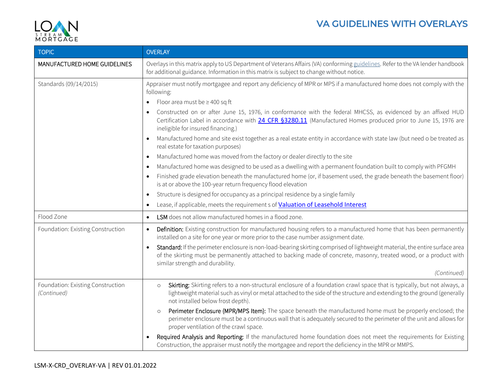

| <b>TOPIC</b>                                     | <b>OVERLAY</b>                                                                                                                                                                                                                                                                                                                                                                                                                                                                                                                                                                                                                                                                                                                                                                                                                                                                                                                                                                                                                                                                                                                                                                                                                                                                          |
|--------------------------------------------------|-----------------------------------------------------------------------------------------------------------------------------------------------------------------------------------------------------------------------------------------------------------------------------------------------------------------------------------------------------------------------------------------------------------------------------------------------------------------------------------------------------------------------------------------------------------------------------------------------------------------------------------------------------------------------------------------------------------------------------------------------------------------------------------------------------------------------------------------------------------------------------------------------------------------------------------------------------------------------------------------------------------------------------------------------------------------------------------------------------------------------------------------------------------------------------------------------------------------------------------------------------------------------------------------|
| MANUFACTURED HOME GUIDELINES                     | Overlays in this matrix apply to US Department of Veterans Affairs (VA) conforming guidelines. Refer to the VA lender handbook<br>for additional guidance. Information in this matrix is subject to change without notice.                                                                                                                                                                                                                                                                                                                                                                                                                                                                                                                                                                                                                                                                                                                                                                                                                                                                                                                                                                                                                                                              |
| Standards (09/14/2015)                           | Appraiser must notify mortgagee and report any deficiency of MPR or MPS if a manufactured home does not comply with the<br>following:<br>Floor area must be ≥400 sq ft<br>$\bullet$<br>Constructed on or after June 15, 1976, in conformance with the federal MHCSS, as evidenced by an affixed HUD<br>$\bullet$<br>Certification Label in accordance with 24 CFR §3280.11 (Manufactured Homes produced prior to June 15, 1976 are<br>ineligible for insured financing.)<br>Manufactured home and site exist together as a real estate entity in accordance with state law (but need o be treated as<br>$\bullet$<br>real estate for taxation purposes)<br>Manufactured home was moved from the factory or dealer directly to the site<br>$\bullet$<br>Manufactured home was designed to be used as a dwelling with a permanent foundation built to comply with PFGMH<br>$\bullet$<br>Finished grade elevation beneath the manufactured home (or, if basement used, the grade beneath the basement floor)<br>$\bullet$<br>is at or above the 100-year return frequency flood elevation<br>Structure is designed for occupancy as a principal residence by a single family<br>$\bullet$<br>Lease, if applicable, meets the requirement s of Valuation of Leasehold Interest<br>$\bullet$ |
| Flood Zone                                       | LSM does not allow manufactured homes in a flood zone.<br>$\bullet$                                                                                                                                                                                                                                                                                                                                                                                                                                                                                                                                                                                                                                                                                                                                                                                                                                                                                                                                                                                                                                                                                                                                                                                                                     |
| Foundation: Existing Construction                | Definition: Existing construction for manufactured housing refers to a manufactured home that has been permanently<br>$\bullet$<br>installed on a site for one year or more prior to the case number assignment date.<br>Standard: If the perimeter enclosure is non-load-bearing skirting comprised of lightweight material, the entire surface area<br>$\bullet$<br>of the skirting must be permanently attached to backing made of concrete, masonry, treated wood, or a product with<br>similar strength and durability.<br>(Continued)                                                                                                                                                                                                                                                                                                                                                                                                                                                                                                                                                                                                                                                                                                                                             |
| Foundation: Existing Construction<br>(Continued) | Skirting: Skirting refers to a non-structural enclosure of a foundation crawl space that is typically, but not always, a<br>$\circ$<br>lightweight material such as vinyl or metal attached to the side of the structure and extending to the ground (generally<br>not installed below frost depth).<br>Perimeter Enclosure (MPR/MPS Item): The space beneath the manufactured home must be properly enclosed; the<br>$\circ$<br>perimeter enclosure must be a continuous wall that is adequately secured to the perimeter of the unit and allows for<br>proper ventilation of the crawl space.<br>Required Analysis and Reporting: If the manufactured home foundation does not meet the requirements for Existing<br>$\bullet$<br>Construction, the appraiser must notify the mortgagee and report the deficiency in the MPR or MMPS.                                                                                                                                                                                                                                                                                                                                                                                                                                                 |